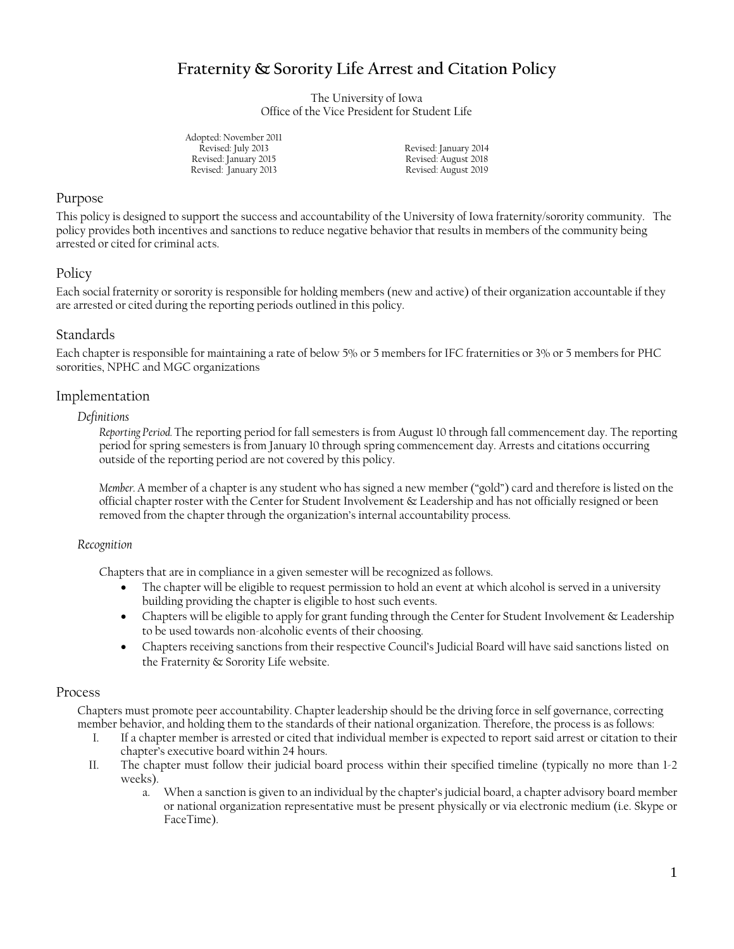# **Fraternity & Sorority Life Arrest and Citation Policy**

The University of Iowa Office of the Vice President for Student Life

Adopted: November 2011 Revised: July 2013 Revised: January 2014 Revised: January 2015 Revised: January 2013

Revised: August 2018 Revised: August 2019

# Purpose

This policy is designed to support the success and accountability of the University of Iowa fraternity/sorority community. The policy provides both incentives and sanctions to reduce negative behavior that results in members of the community being arrested or cited for criminal acts.

# Policy

Each social fraternity or sorority is responsible for holding members (new and active) of their organization accountable if they are arrested or cited during the reporting periods outlined in this policy.

# Standards

Each chapter is responsible for maintaining a rate of below 5% or 5 members for IFC fraternities or 3% or 5 members for PHC sororities, NPHC and MGC organizations

#### Implementation

#### *Definitions*

*Reporting Period.* The reporting period for fall semesters is from August 10 through fall commencement day. The reporting period for spring semesters is from January 10 through spring commencement day. Arrests and citations occurring outside of the reporting period are not covered by this policy.

*Member.* A member of a chapter is any student who has signed a new member ("gold") card and therefore is listed on the official chapter roster with the Center for Student Involvement & Leadership and has not officially resigned or been removed from the chapter through the organization's internal accountability process.

#### *Recognition*

Chapters that are in compliance in a given semester will be recognized as follows.

- The chapter will be eligible to request permission to hold an event at which alcohol is served in a university building providing the chapter is eligible to host such events.
- Chapters will be eligible to apply for grant funding through the Center for Student Involvement & Leadership to be used towards non-alcoholic events of their choosing.
- Chapters receiving sanctions from their respective Council's Judicial Board will have said sanctions listed on the Fraternity & Sorority Life website.

#### Process

Chapters must promote peer accountability. Chapter leadership should be the driving force in self governance, correcting member behavior, and holding them to the standards of their national organization. Therefore, the process is as follows:

- I. If a chapter member is arrested or cited that individual member is expected to report said arrest or citation to their chapter's executive board within 24 hours.
- II. The chapter must follow their judicial board process within their specified timeline (typically no more than 1-2 weeks).
	- a. When a sanction is given to an individual by the chapter's judicial board, a chapter advisory board member or national organization representative must be present physically or via electronic medium (i.e. Skype or FaceTime).